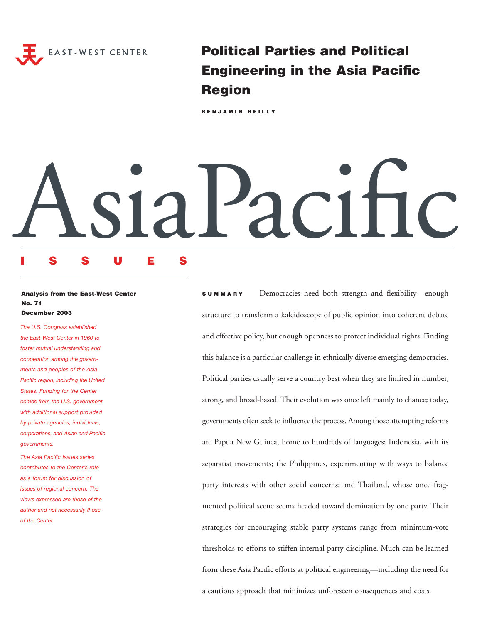

**Political Parties and Political Engineering in the Asia Pacific Region**

**BENJAMIN REILLY**

# AsiaPacific

# **ISSUES**

### **Analysis from the East-West Center No. 71 December 2003**

*The U.S. Congress established the East-West Center in 1960 to foster mutual understanding and cooperation among the governments and peoples of the Asia Pacific region, including the United States. Funding for the Center comes from the U.S. government with additional support provided by private agencies, individuals, corporations, and Asian and Pacific governments.*

*The Asia Pacific Issues series contributes to the Center's role as a forum for discussion of issues of regional concern. The views expressed are those of the author and not necessarily those of the Center.*

**SUMMARY** Democracies need both strength and flexibility—enough structure to transform a kaleidoscope of public opinion into coherent debate and effective policy, but enough openness to protect individual rights. Finding this balance is a particular challenge in ethnically diverse emerging democracies. Political parties usually serve a country best when they are limited in number, strong, and broad-based. Their evolution was once left mainly to chance; today, governments often seek to influence the process. Among those attempting reforms are Papua New Guinea, home to hundreds of languages; Indonesia, with its separatist movements; the Philippines, experimenting with ways to balance party interests with other social concerns; and Thailand, whose once fragmented political scene seems headed toward domination by one party. Their strategies for encouraging stable party systems range from minimum-vote thresholds to efforts to stiffen internal party discipline. Much can be learned from these Asia Pacific efforts at political engineering—including the need for a cautious approach that minimizes unforeseen consequences and costs.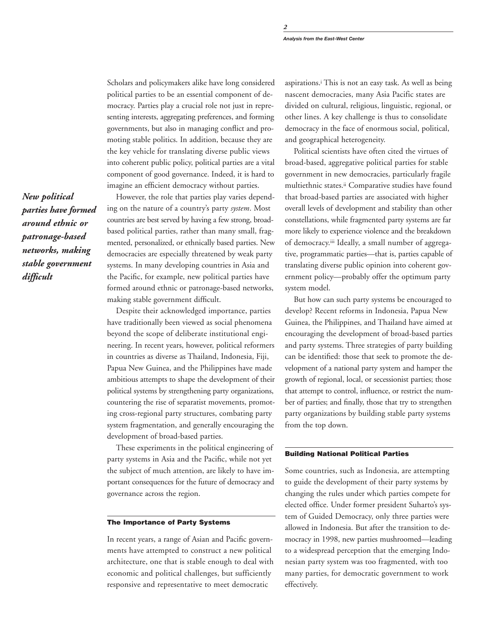Scholars and policymakers alike have long considered political parties to be an essential component of democracy. Parties play a crucial role not just in representing interests, aggregating preferences, and forming governments, but also in managing conflict and promoting stable politics. In addition, because they are the key vehicle for translating diverse public views into coherent public policy, political parties are a vital component of good governance. Indeed, it is hard to imagine an efficient democracy without parties.

However, the role that parties play varies depending on the nature of a country's party *system*. Most countries are best served by having a few strong, broadbased political parties, rather than many small, fragmented, personalized, or ethnically based parties. New democracies are especially threatened by weak party systems. In many developing countries in Asia and the Pacific, for example, new political parties have formed around ethnic or patronage-based networks, making stable government difficult.

Despite their acknowledged importance, parties have traditionally been viewed as social phenomena beyond the scope of deliberate institutional engineering. In recent years, however, political reformers in countries as diverse as Thailand, Indonesia, Fiji, Papua New Guinea, and the Philippines have made ambitious attempts to shape the development of their political systems by strengthening party organizations, countering the rise of separatist movements, promoting cross-regional party structures, combating party system fragmentation, and generally encouraging the development of broad-based parties.

These experiments in the political engineering of party systems in Asia and the Pacific, while not yet the subject of much attention, are likely to have important consequences for the future of democracy and governance across the region.

### **The Importance of Party Systems**

In recent years, a range of Asian and Pacific governments have attempted to construct a new political architecture, one that is stable enough to deal with economic and political challenges, but sufficiently responsive and representative to meet democratic

aspirations.i This is not an easy task. As well as being nascent democracies, many Asia Pacific states are divided on cultural, religious, linguistic, regional, or other lines. A key challenge is thus to consolidate democracy in the face of enormous social, political, and geographical heterogeneity.

Political scientists have often cited the virtues of broad-based, aggregative political parties for stable government in new democracies, particularly fragile multiethnic states.ii Comparative studies have found that broad-based parties are associated with higher overall levels of development and stability than other constellations, while fragmented party systems are far more likely to experience violence and the breakdown of democracy.iii Ideally, a small number of aggregative, programmatic parties—that is, parties capable of translating diverse public opinion into coherent government policy—probably offer the optimum party system model.

But how can such party systems be encouraged to develop? Recent reforms in Indonesia, Papua New Guinea, the Philippines, and Thailand have aimed at encouraging the development of broad-based parties and party systems. Three strategies of party building can be identified: those that seek to promote the development of a national party system and hamper the growth of regional, local, or secessionist parties; those that attempt to control, influence, or restrict the number of parties; and finally, those that try to strengthen party organizations by building stable party systems from the top down.

# **Building National Political Parties**

Some countries, such as Indonesia, are attempting to guide the development of their party systems by changing the rules under which parties compete for elected office. Under former president Suharto's system of Guided Democracy, only three parties were allowed in Indonesia. But after the transition to democracy in 1998, new parties mushroomed—leading to a widespread perception that the emerging Indonesian party system was too fragmented, with too many parties, for democratic government to work effectively.

*New political parties have formed around ethnic or patronage-based networks, making stable government difficult*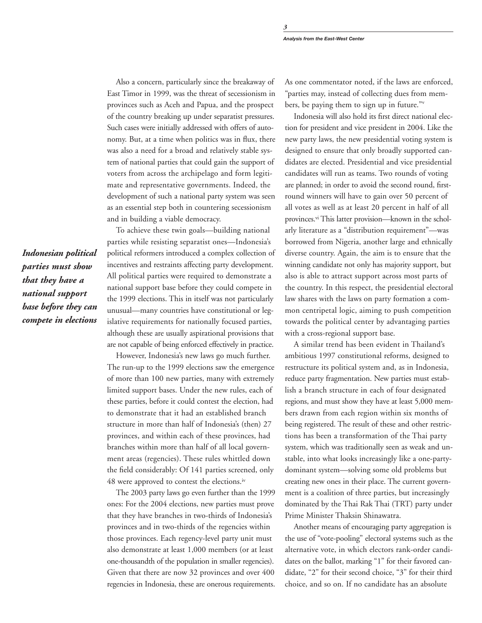Also a concern, particularly since the breakaway of East Timor in 1999, was the threat of secessionism in provinces such as Aceh and Papua, and the prospect of the country breaking up under separatist pressures. Such cases were initially addressed with offers of autonomy. But, at a time when politics was in flux, there was also a need for a broad and relatively stable system of national parties that could gain the support of voters from across the archipelago and form legitimate and representative governments. Indeed, the development of such a national party system was seen as an essential step both in countering secessionism and in building a viable democracy.

*Indonesian political parties must show that they have a national support base before they can compete in elections*

To achieve these twin goals—building national parties while resisting separatist ones—Indonesia's political reformers introduced a complex collection of incentives and restraints affecting party development. All political parties were required to demonstrate a national support base before they could compete in the 1999 elections. This in itself was not particularly unusual—many countries have constitutional or legislative requirements for nationally focused parties, although these are usually aspirational provisions that are not capable of being enforced effectively in practice.

However, Indonesia's new laws go much further. The run-up to the 1999 elections saw the emergence of more than 100 new parties, many with extremely limited support bases. Under the new rules, each of these parties, before it could contest the election, had to demonstrate that it had an established branch structure in more than half of Indonesia's (then) 27 provinces, and within each of these provinces, had branches within more than half of all local government areas (regencies). These rules whittled down the field considerably: Of 141 parties screened, only 48 were approved to contest the elections.iv

The 2003 party laws go even further than the 1999 ones: For the 2004 elections, new parties must prove that they have branches in two-thirds of Indonesia's provinces and in two-thirds of the regencies within those provinces. Each regency-level party unit must also demonstrate at least 1,000 members (or at least one-thousandth of the population in smaller regencies). Given that there are now 32 provinces and over 400 regencies in Indonesia, these are onerous requirements. As one commentator noted, if the laws are enforced, "parties may, instead of collecting dues from members, be paying them to sign up in future."<sup>v</sup>

Indonesia will also hold its first direct national election for president and vice president in 2004. Like the new party laws, the new presidential voting system is designed to ensure that only broadly supported candidates are elected. Presidential and vice presidential candidates will run as teams. Two rounds of voting are planned; in order to avoid the second round, firstround winners will have to gain over 50 percent of all votes as well as at least 20 percent in half of all provinces.vi This latter provision—known in the scholarly literature as a "distribution requirement"—was borrowed from Nigeria, another large and ethnically diverse country. Again, the aim is to ensure that the winning candidate not only has majority support, but also is able to attract support across most parts of the country. In this respect, the presidential electoral law shares with the laws on party formation a common centripetal logic, aiming to push competition towards the political center by advantaging parties with a cross-regional support base.

A similar trend has been evident in Thailand's ambitious 1997 constitutional reforms, designed to restructure its political system and, as in Indonesia, reduce party fragmentation. New parties must establish a branch structure in each of four designated regions, and must show they have at least 5,000 members drawn from each region within six months of being registered. The result of these and other restrictions has been a transformation of the Thai party system, which was traditionally seen as weak and unstable, into what looks increasingly like a one-partydominant system—solving some old problems but creating new ones in their place. The current government is a coalition of three parties, but increasingly dominated by the Thai Rak Thai (TRT) party under Prime Minister Thaksin Shinawatra.

Another means of encouraging party aggregation is the use of "vote-pooling" electoral systems such as the alternative vote, in which electors rank-order candidates on the ballot, marking "1" for their favored candidate, "2" for their second choice, "3" for their third choice, and so on. If no candidate has an absolute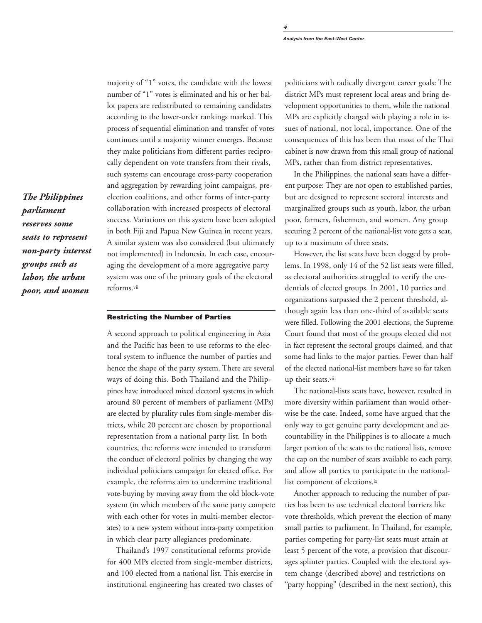*4*

*The Philippines parliament reserves some seats to represent non-party interest groups such as labor, the urban poor, and women*

majority of "1" votes, the candidate with the lowest number of "1" votes is eliminated and his or her ballot papers are redistributed to remaining candidates according to the lower-order rankings marked. This process of sequential elimination and transfer of votes continues until a majority winner emerges. Because they make politicians from different parties reciprocally dependent on vote transfers from their rivals, such systems can encourage cross-party cooperation and aggregation by rewarding joint campaigns, preelection coalitions, and other forms of inter-party collaboration with increased prospects of electoral success. Variations on this system have been adopted in both Fiji and Papua New Guinea in recent years. A similar system was also considered (but ultimately not implemented) in Indonesia. In each case, encouraging the development of a more aggregative party system was one of the primary goals of the electoral reforms.vii

### **Restricting the Number of Parties**

A second approach to political engineering in Asia and the Pacific has been to use reforms to the electoral system to influence the number of parties and hence the shape of the party system. There are several ways of doing this. Both Thailand and the Philippines have introduced mixed electoral systems in which around 80 percent of members of parliament (MPs) are elected by plurality rules from single-member districts, while 20 percent are chosen by proportional representation from a national party list. In both countries, the reforms were intended to transform the conduct of electoral politics by changing the way individual politicians campaign for elected office. For example, the reforms aim to undermine traditional vote-buying by moving away from the old block-vote system (in which members of the same party compete with each other for votes in multi-member electorates) to a new system without intra-party competition in which clear party allegiances predominate.

Thailand's 1997 constitutional reforms provide for 400 MPs elected from single-member districts, and 100 elected from a national list. This exercise in institutional engineering has created two classes of

politicians with radically divergent career goals: The district MPs must represent local areas and bring development opportunities to them, while the national MPs are explicitly charged with playing a role in issues of national, not local, importance. One of the consequences of this has been that most of the Thai cabinet is now drawn from this small group of national MPs, rather than from district representatives.

In the Philippines, the national seats have a different purpose: They are not open to established parties, but are designed to represent sectoral interests and marginalized groups such as youth, labor, the urban poor, farmers, fishermen, and women. Any group securing 2 percent of the national-list vote gets a seat, up to a maximum of three seats.

However, the list seats have been dogged by problems. In 1998, only 14 of the 52 list seats were filled, as electoral authorities struggled to verify the credentials of elected groups. In 2001, 10 parties and organizations surpassed the 2 percent threshold, although again less than one-third of available seats were filled. Following the 2001 elections, the Supreme Court found that most of the groups elected did not in fact represent the sectoral groups claimed, and that some had links to the major parties. Fewer than half of the elected national-list members have so far taken up their seats.viii

The national-lists seats have, however, resulted in more diversity within parliament than would otherwise be the case. Indeed, some have argued that the only way to get genuine party development and accountability in the Philippines is to allocate a much larger portion of the seats to the national lists, remove the cap on the number of seats available to each party, and allow all parties to participate in the nationallist component of elections.ix

Another approach to reducing the number of parties has been to use technical electoral barriers like vote thresholds, which prevent the election of many small parties to parliament. In Thailand, for example, parties competing for party-list seats must attain at least 5 percent of the vote, a provision that discourages splinter parties. Coupled with the electoral system change (described above) and restrictions on "party hopping" (described in the next section), this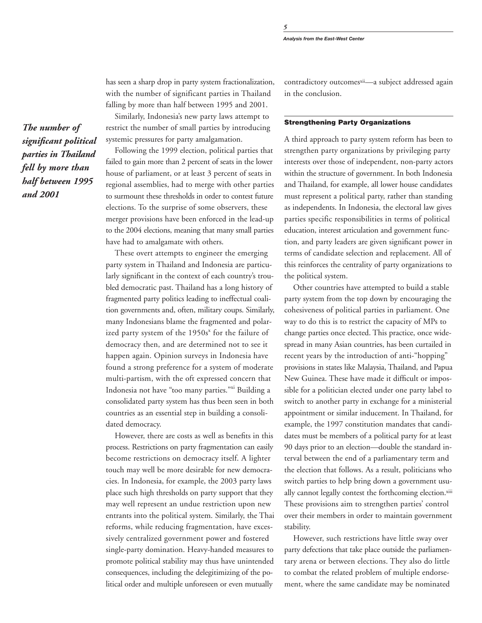*5*

has seen a sharp drop in party system fractionalization, with the number of significant parties in Thailand falling by more than half between 1995 and 2001.

Similarly, Indonesia's new party laws attempt to restrict the number of small parties by introducing systemic pressures for party amalgamation.

Following the 1999 election, political parties that failed to gain more than 2 percent of seats in the lower house of parliament, or at least 3 percent of seats in regional assemblies, had to merge with other parties to surmount these thresholds in order to contest future elections. To the surprise of some observers, these merger provisions have been enforced in the lead-up to the 2004 elections, meaning that many small parties have had to amalgamate with others.

These overt attempts to engineer the emerging party system in Thailand and Indonesia are particularly significant in the context of each country's troubled democratic past. Thailand has a long history of fragmented party politics leading to ineffectual coalition governments and, often, military coups. Similarly, many Indonesians blame the fragmented and polarized party system of the  $1950s<sup>x</sup>$  for the failure of democracy then, and are determined not to see it happen again. Opinion surveys in Indonesia have found a strong preference for a system of moderate multi-partism, with the oft expressed concern that Indonesia not have "too many parties."xi Building a consolidated party system has thus been seen in both countries as an essential step in building a consolidated democracy.

However, there are costs as well as benefits in this process. Restrictions on party fragmentation can easily become restrictions on democracy itself. A lighter touch may well be more desirable for new democracies. In Indonesia, for example, the 2003 party laws place such high thresholds on party support that they may well represent an undue restriction upon new entrants into the political system. Similarly, the Thai reforms, while reducing fragmentation, have excessively centralized government power and fostered single-party domination. Heavy-handed measures to promote political stability may thus have unintended consequences, including the delegitimizing of the political order and multiple unforeseen or even mutually

contradictory outcomesxii-a subject addressed again in the conclusion.

### **Strengthening Party Organizations**

A third approach to party system reform has been to strengthen party organizations by privileging party interests over those of independent, non-party actors within the structure of government. In both Indonesia and Thailand, for example, all lower house candidates must represent a political party, rather than standing as independents. In Indonesia, the electoral law gives parties specific responsibilities in terms of political education, interest articulation and government function, and party leaders are given significant power in terms of candidate selection and replacement. All of this reinforces the centrality of party organizations to the political system.

Other countries have attempted to build a stable party system from the top down by encouraging the cohesiveness of political parties in parliament. One way to do this is to restrict the capacity of MPs to change parties once elected. This practice, once widespread in many Asian countries, has been curtailed in recent years by the introduction of anti-"hopping" provisions in states like Malaysia, Thailand, and Papua New Guinea. These have made it difficult or impossible for a politician elected under one party label to switch to another party in exchange for a ministerial appointment or similar inducement. In Thailand, for example, the 1997 constitution mandates that candidates must be members of a political party for at least 90 days prior to an election—double the standard interval between the end of a parliamentary term and the election that follows. As a result, politicians who switch parties to help bring down a government usually cannot legally contest the forthcoming election.xiii These provisions aim to strengthen parties' control over their members in order to maintain government stability.

However, such restrictions have little sway over party defections that take place outside the parliamentary arena or between elections. They also do little to combat the related problem of multiple endorsement, where the same candidate may be nominated

*The number of significant political parties in Thailand fell by more than half between 1995 and 2001*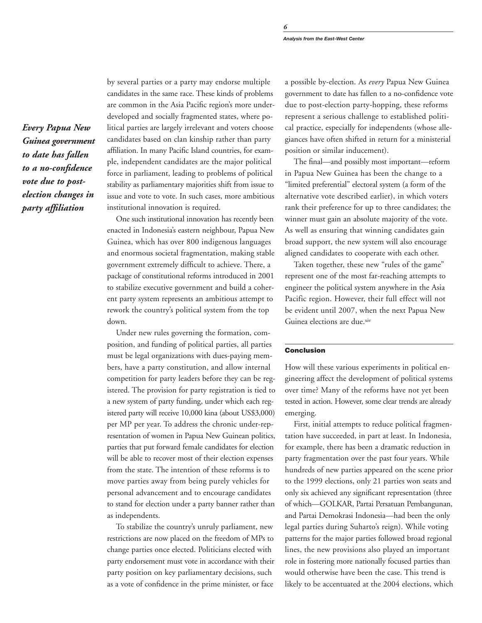*Every Papua New Guinea government to date has fallen to a no-confidence vote due to postelection changes in party affiliation*

by several parties or a party may endorse multiple candidates in the same race. These kinds of problems are common in the Asia Pacific region's more underdeveloped and socially fragmented states, where political parties are largely irrelevant and voters choose candidates based on clan kinship rather than party affiliation. In many Pacific Island countries, for example, independent candidates are the major political force in parliament, leading to problems of political stability as parliamentary majorities shift from issue to issue and vote to vote. In such cases, more ambitious institutional innovation is required.

One such institutional innovation has recently been enacted in Indonesia's eastern neighbour, Papua New Guinea, which has over 800 indigenous languages and enormous societal fragmentation, making stable government extremely difficult to achieve. There, a package of constitutional reforms introduced in 2001 to stabilize executive government and build a coherent party system represents an ambitious attempt to rework the country's political system from the top down.

Under new rules governing the formation, composition, and funding of political parties, all parties must be legal organizations with dues-paying members, have a party constitution, and allow internal competition for party leaders before they can be registered. The provision for party registration is tied to a new system of party funding, under which each registered party will receive 10,000 kina (about US\$3,000) per MP per year. To address the chronic under-representation of women in Papua New Guinean politics, parties that put forward female candidates for election will be able to recover most of their election expenses from the state. The intention of these reforms is to move parties away from being purely vehicles for personal advancement and to encourage candidates to stand for election under a party banner rather than as independents.

To stabilize the country's unruly parliament, new restrictions are now placed on the freedom of MPs to change parties once elected. Politicians elected with party endorsement must vote in accordance with their party position on key parliamentary decisions, such as a vote of confidence in the prime minister, or face a possible by-election. As *every* Papua New Guinea government to date has fallen to a no-confidence vote due to post-election party-hopping, these reforms represent a serious challenge to established political practice, especially for independents (whose allegiances have often shifted in return for a ministerial position or similar inducement).

The final—and possibly most important—reform in Papua New Guinea has been the change to a "limited preferential" electoral system (a form of the alternative vote described earlier), in which voters rank their preference for up to three candidates; the winner must gain an absolute majority of the vote. As well as ensuring that winning candidates gain broad support, the new system will also encourage aligned candidates to cooperate with each other.

Taken together, these new "rules of the game" represent one of the most far-reaching attempts to engineer the political system anywhere in the Asia Pacific region. However, their full effect will not be evident until 2007, when the next Papua New Guinea elections are due.xiv

## **Conclusion**

How will these various experiments in political engineering affect the development of political systems over time? Many of the reforms have not yet been tested in action. However, some clear trends are already emerging.

First, initial attempts to reduce political fragmentation have succeeded, in part at least. In Indonesia, for example, there has been a dramatic reduction in party fragmentation over the past four years. While hundreds of new parties appeared on the scene prior to the 1999 elections, only 21 parties won seats and only six achieved any significant representation (three of which—GOLKAR, Partai Persatuan Pembangunan, and Partai Demokrasi Indonesia—had been the only legal parties during Suharto's reign). While voting patterns for the major parties followed broad regional lines, the new provisions also played an important role in fostering more nationally focused parties than would otherwise have been the case. This trend is likely to be accentuated at the 2004 elections, which

*6*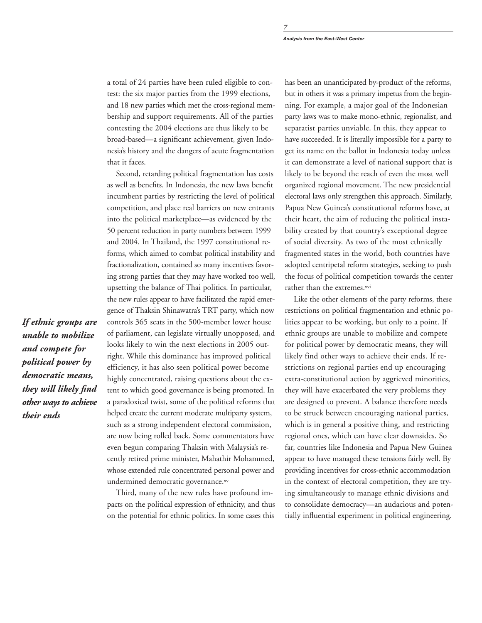a total of 24 parties have been ruled eligible to contest: the six major parties from the 1999 elections, and 18 new parties which met the cross-regional membership and support requirements. All of the parties contesting the 2004 elections are thus likely to be broad-based—a significant achievement, given Indonesia's history and the dangers of acute fragmentation that it faces.

Second, retarding political fragmentation has costs as well as benefits. In Indonesia, the new laws benefit incumbent parties by restricting the level of political competition, and place real barriers on new entrants into the political marketplace—as evidenced by the 50 percent reduction in party numbers between 1999 and 2004. In Thailand, the 1997 constitutional reforms, which aimed to combat political instability and fractionalization, contained so many incentives favoring strong parties that they may have worked too well, upsetting the balance of Thai politics. In particular, the new rules appear to have facilitated the rapid emergence of Thaksin Shinawatra's TRT party, which now controls 365 seats in the 500-member lower house of parliament, can legislate virtually unopposed, and looks likely to win the next elections in 2005 outright. While this dominance has improved political efficiency, it has also seen political power become highly concentrated, raising questions about the extent to which good governance is being promoted. In a paradoxical twist, some of the political reforms that helped create the current moderate multiparty system, such as a strong independent electoral commission, are now being rolled back. Some commentators have even begun comparing Thaksin with Malaysia's recently retired prime minister, Mahathir Mohammed, whose extended rule concentrated personal power and undermined democratic governance.xv

Third, many of the new rules have profound impacts on the political expression of ethnicity, and thus on the potential for ethnic politics. In some cases this

has been an unanticipated by-product of the reforms, but in others it was a primary impetus from the beginning. For example, a major goal of the Indonesian party laws was to make mono-ethnic, regionalist, and separatist parties unviable. In this, they appear to have succeeded. It is literally impossible for a party to get its name on the ballot in Indonesia today unless it can demonstrate a level of national support that is likely to be beyond the reach of even the most well organized regional movement. The new presidential electoral laws only strengthen this approach. Similarly, Papua New Guinea's constitutional reforms have, at their heart, the aim of reducing the political instability created by that country's exceptional degree of social diversity. As two of the most ethnically fragmented states in the world, both countries have adopted centripetal reform strategies, seeking to push the focus of political competition towards the center rather than the extremes.<sup>xvi</sup>

Like the other elements of the party reforms, these restrictions on political fragmentation and ethnic politics appear to be working, but only to a point. If ethnic groups are unable to mobilize and compete for political power by democratic means, they will likely find other ways to achieve their ends. If restrictions on regional parties end up encouraging extra-constitutional action by aggrieved minorities, they will have exacerbated the very problems they are designed to prevent. A balance therefore needs to be struck between encouraging national parties, which is in general a positive thing, and restricting regional ones, which can have clear downsides. So far, countries like Indonesia and Papua New Guinea appear to have managed these tensions fairly well. By providing incentives for cross-ethnic accommodation in the context of electoral competition, they are trying simultaneously to manage ethnic divisions and to consolidate democracy—an audacious and potentially influential experiment in political engineering.

*If ethnic groups are unable to mobilize and compete for political power by democratic means, they will likely find other ways to achieve their ends*